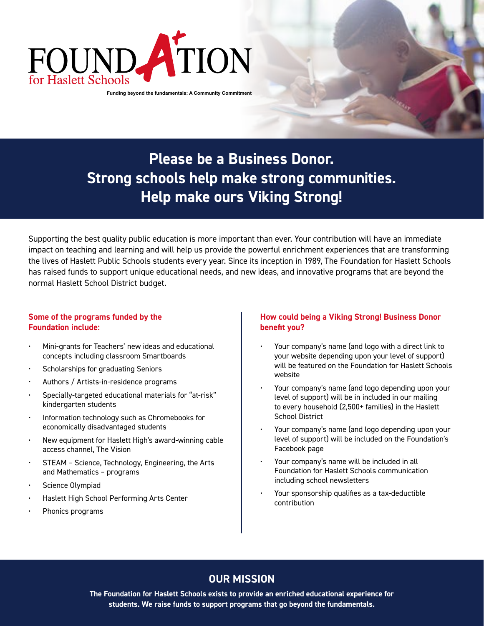

**Funding beyond the fundamentals: A Community Commitment**

## **Please be a Business Donor. Strong schools help make strong communities. Help make ours Viking Strong!**

Supporting the best quality public education is more important than ever. Your contribution will have an immediate impact on teaching and learning and will help us provide the powerful enrichment experiences that are transforming the lives of Haslett Public Schools students every year. Since its inception in 1989, The Foundation for Haslett Schools has raised funds to support unique educational needs, and new ideas, and innovative programs that are beyond the normal Haslett School District budget.

#### **Some of the programs funded by the Foundation include:**

- Mini-grants for Teachers' new ideas and educational concepts including classroom Smartboards
- Scholarships for graduating Seniors
- Authors / Artists-in-residence programs
- Specially-targeted educational materials for "at-risk" kindergarten students
- Information technology such as Chromebooks for economically disadvantaged students
- New equipment for Haslett High's award-winning cable access channel, The Vision
- STEAM Science, Technology, Engineering, the Arts and Mathematics – programs
- Science Olympiad
- Haslett High School Performing Arts Center
- Phonics programs

#### **How could being a Viking Strong! Business Donor benefit you?**

- Your company's name (and logo with a direct link to your website depending upon your level of support) will be featured on the Foundation for Haslett Schools website
- Your company's name (and logo depending upon your level of support) will be in included in our mailing to every household (2,500+ families) in the Haslett School District
- Your company's name (and logo depending upon your level of support) will be included on the Foundation's Facebook page
- Your company's name will be included in all Foundation for Haslett Schools communication including school newsletters
- Your sponsorship qualifies as a tax-deductible contribution

## **OUR MISSION**

**The Foundation for Haslett Schools exists to provide an enriched educational experience for students. We raise funds to support programs that go beyond the fundamentals.**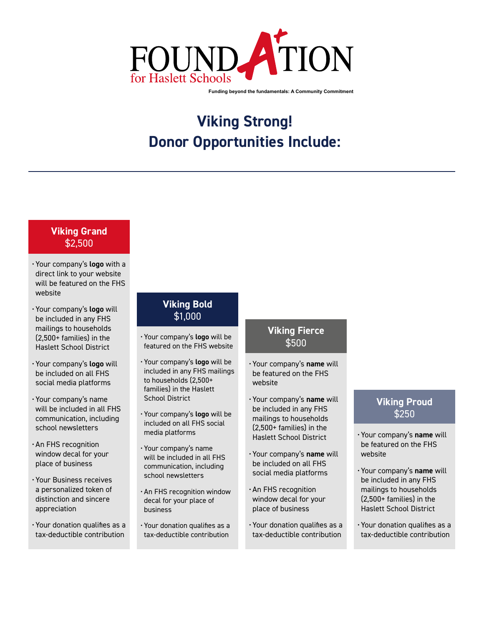

**Funding beyond the fundamentals: A Community Commitment**

# **Viking Strong! Donor Opportunities Include:**

### **Viking Grand** \$2,500

- Your company's **logo** with a direct link to your website will be featured on the FHS website
- Your company's **logo** will be included in any FHS mailings to households (2,500+ families) in the Haslett School District
- Your company's **logo** will be included on all FHS social media platforms
- Your company's name will be included in all FHS communication, including school newsletters
- An FHS recognition window decal for your place of business
- Your Business receives a personalized token of distinction and sincere appreciation
- Your donation qualifies as a tax-deductible contribution

### **Viking Bold** \$1,000

- Your company's **logo** will be featured on the FHS website
- Your company's **logo** will be included in any FHS mailings to households (2,500+ families) in the Haslett School District
- Your company's **logo** will be included on all FHS social media platforms
- Your company's name will be included in all FHS communication, including school newsletters
- An FHS recognition window decal for your place of business
- Your donation qualifies as a tax-deductible contribution

### **Viking Fierce** \$500

- Your company's **name** will be featured on the FHS website
- Your company's **name** will be included in any FHS mailings to households (2,500+ families) in the Haslett School District
- Your company's **name** will be included on all FHS social media platforms
- An FHS recognition window decal for your place of business
- Your donation qualifies as a tax-deductible contribution

#### **Viking Proud**  \$250

- Your company's **name** will be featured on the FHS website
- Your company's **name** will be included in any FHS mailings to households (2,500+ families) in the Haslett School District
- Your donation qualifies as a tax-deductible contribution